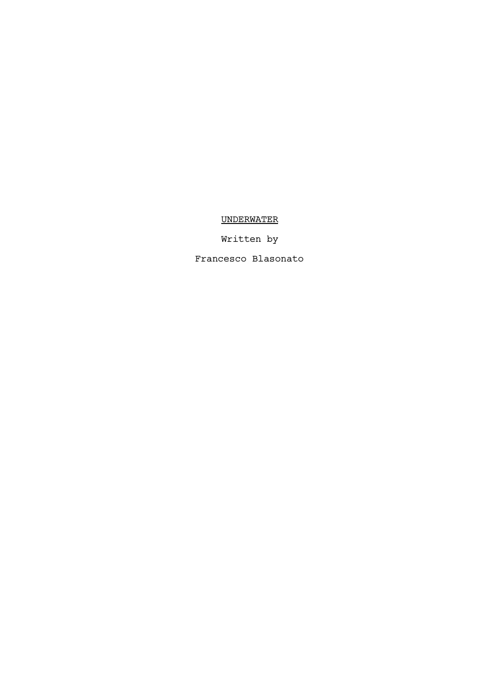# UNDERWATER

Written by

Francesco Blasonato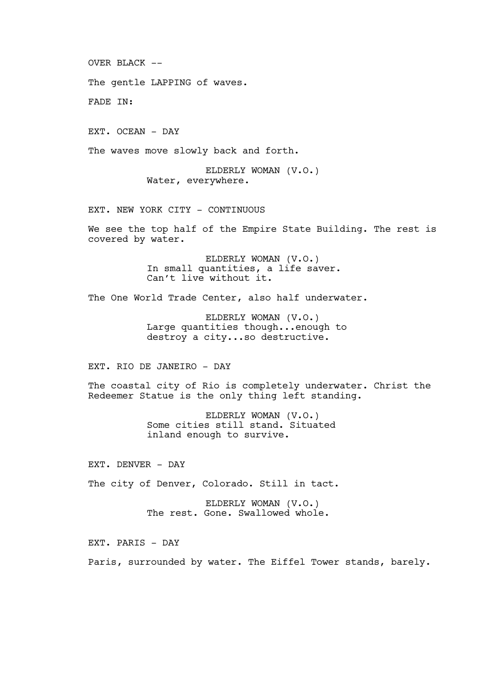OVER BLACK  $--$ 

The gentle LAPPING of waves.

FADE IN:

EXT. OCEAN - DAY

The waves move slowly back and forth.

ELDERLY WOMAN (V.O.) Water, everywhere.

EXT. NEW YORK CITY - CONTINUOUS

We see the top half of the Empire State Building. The rest is covered by water.

> ELDERLY WOMAN (V.O.) In small quantities, a life saver. Can't live without it.

The One World Trade Center, also half underwater.

ELDERLY WOMAN (V.O.) Large quantities though...enough to destroy a city...so destructive.

EXT. RIO DE JANEIRO - DAY

The coastal city of Rio is completely underwater. Christ the Redeemer Statue is the only thing left standing.

> ELDERLY WOMAN (V.O.) Some cities still stand. Situated inland enough to survive.

EXT. DENVER - DAY

The city of Denver, Colorado. Still in tact.

ELDERLY WOMAN (V.O.) The rest. Gone. Swallowed whole.

EXT. PARIS - DAY

Paris, surrounded by water. The Eiffel Tower stands, barely.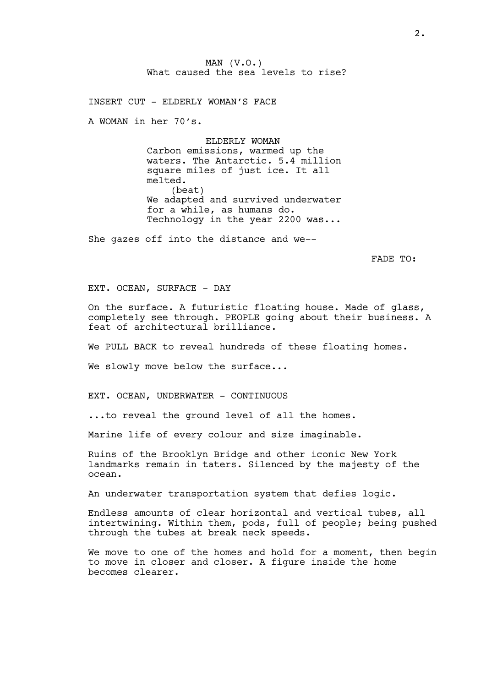MAN  $(V.O.)$ What caused the sea levels to rise?

INSERT CUT - ELDERLY WOMAN'S FACE

A WOMAN in her 70's.

ELDERLY WOMAN Carbon emissions, warmed up the waters. The Antarctic. 5.4 million square miles of just ice. It all melted. (beat) We adapted and survived underwater for a while, as humans do. Technology in the year 2200 was...

She gazes off into the distance and we--

FADE TO:

EXT. OCEAN, SURFACE - DAY

On the surface. A futuristic floating house. Made of glass, completely see through. PEOPLE going about their business. A feat of architectural brilliance.

We PULL BACK to reveal hundreds of these floating homes.

We slowly move below the surface...

EXT. OCEAN, UNDERWATER - CONTINUOUS

...to reveal the ground level of all the homes.

Marine life of every colour and size imaginable.

Ruins of the Brooklyn Bridge and other iconic New York landmarks remain in taters. Silenced by the majesty of the ocean.

An underwater transportation system that defies logic.

Endless amounts of clear horizontal and vertical tubes, all intertwining. Within them, pods, full of people; being pushed through the tubes at break neck speeds.

We move to one of the homes and hold for a moment, then begin to move in closer and closer. A figure inside the home becomes clearer.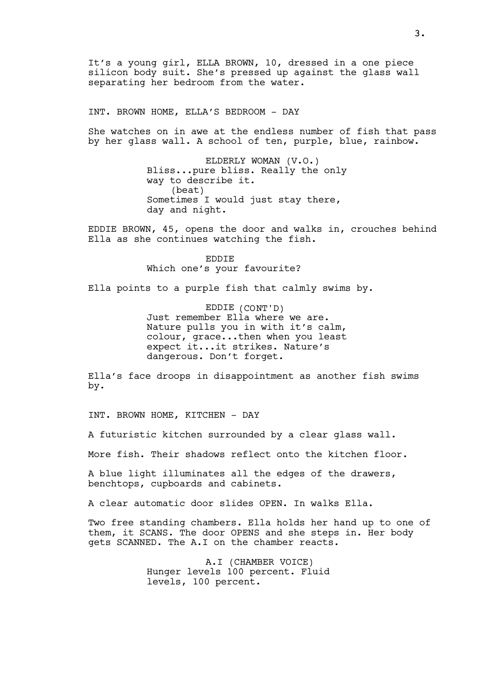It's a young girl, ELLA BROWN, 10, dressed in a one piece silicon body suit. She's pressed up against the glass wall separating her bedroom from the water.

INT. BROWN HOME, ELLA'S BEDROOM - DAY

She watches on in awe at the endless number of fish that pass by her glass wall. A school of ten, purple, blue, rainbow.

> ELDERLY WOMAN (V.O.) Bliss...pure bliss. Really the only way to describe it. (beat) Sometimes I would just stay there, day and night.

EDDIE BROWN, 45, opens the door and walks in, crouches behind Ella as she continues watching the fish.

> EDDIE Which one's your favourite?

Ella points to a purple fish that calmly swims by.

EDDIE (CONT'D) Just remember Ella where we are. Nature pulls you in with it's calm, colour, grace...then when you least expect it...it strikes. Nature's dangerous. Don't forget.

Ella's face droops in disappointment as another fish swims by.

INT. BROWN HOME, KITCHEN - DAY

A futuristic kitchen surrounded by a clear glass wall.

More fish. Their shadows reflect onto the kitchen floor.

A blue light illuminates all the edges of the drawers, benchtops, cupboards and cabinets.

A clear automatic door slides OPEN. In walks Ella.

Two free standing chambers. Ella holds her hand up to one of them, it SCANS. The door OPENS and she steps in. Her body gets SCANNED. The A.I on the chamber reacts.

> A.I (CHAMBER VOICE) Hunger levels 100 percent. Fluid levels, 100 percent.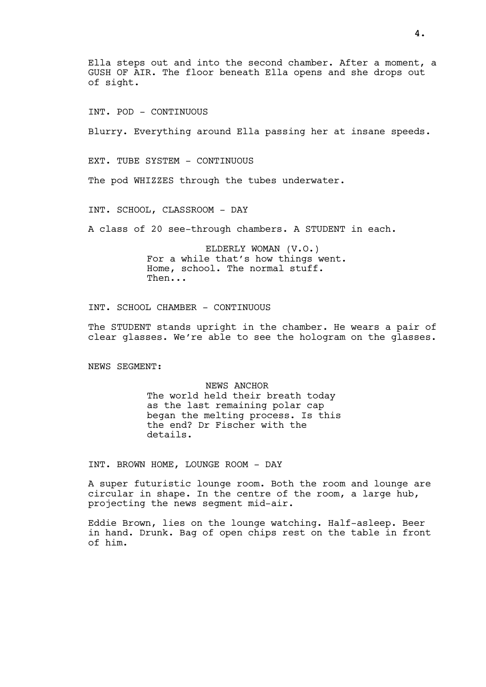Ella steps out and into the second chamber. After a moment, a GUSH OF AIR. The floor beneath Ella opens and she drops out of sight.

INT. POD - CONTINUOUS

Blurry. Everything around Ella passing her at insane speeds.

EXT. TUBE SYSTEM - CONTINUOUS

The pod WHIZZES through the tubes underwater.

INT. SCHOOL, CLASSROOM - DAY

A class of 20 see-through chambers. A STUDENT in each.

ELDERLY WOMAN (V.O.) For a while that's how things went. Home, school. The normal stuff. Then...

INT. SCHOOL CHAMBER - CONTINUOUS

The STUDENT stands upright in the chamber. He wears a pair of clear glasses. We're able to see the hologram on the glasses.

NEWS SEGMENT:

NEWS ANCHOR The world held their breath today as the last remaining polar cap began the melting process. Is this the end? Dr Fischer with the details.

INT. BROWN HOME, LOUNGE ROOM - DAY

A super futuristic lounge room. Both the room and lounge are circular in shape. In the centre of the room, a large hub, projecting the news segment mid-air.

Eddie Brown, lies on the lounge watching. Half-asleep. Beer in hand. Drunk. Bag of open chips rest on the table in front of him.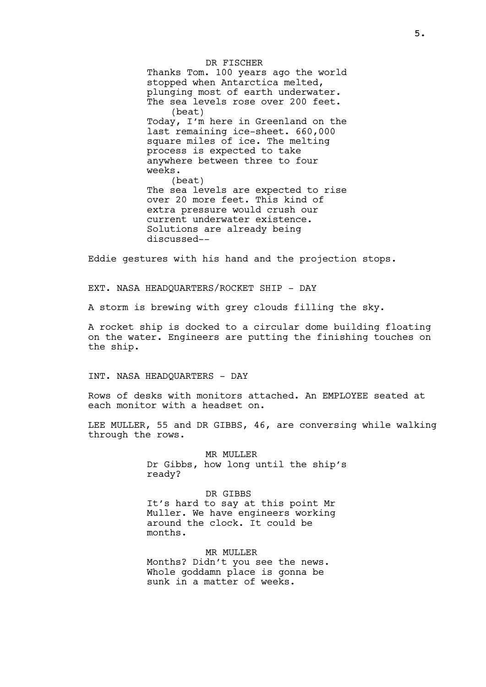DR FISCHER Thanks Tom. 100 years ago the world stopped when Antarctica melted, plunging most of earth underwater. The sea levels rose over 200 feet. (beat) Today, I'm here in Greenland on the last remaining ice-sheet. 660,000 square miles of ice. The melting process is expected to take anywhere between three to four weeks. (beat) The sea levels are expected to rise over 20 more feet. This kind of extra pressure would crush our current underwater existence. Solutions are already being discussed--

Eddie gestures with his hand and the projection stops.

EXT. NASA HEADQUARTERS/ROCKET SHIP - DAY

A storm is brewing with grey clouds filling the sky.

A rocket ship is docked to a circular dome building floating on the water. Engineers are putting the finishing touches on the ship.

INT. NASA HEADQUARTERS - DAY

Rows of desks with monitors attached. An EMPLOYEE seated at each monitor with a headset on.

LEE MULLER, 55 and DR GIBBS, 46, are conversing while walking through the rows.

> MR MULLER Dr Gibbs, how long until the ship's ready?

DR GIBBS It's hard to say at this point Mr Muller. We have engineers working around the clock. It could be months.

MR MULLER Months? Didn't you see the news. Whole goddamn place is gonna be sunk in a matter of weeks.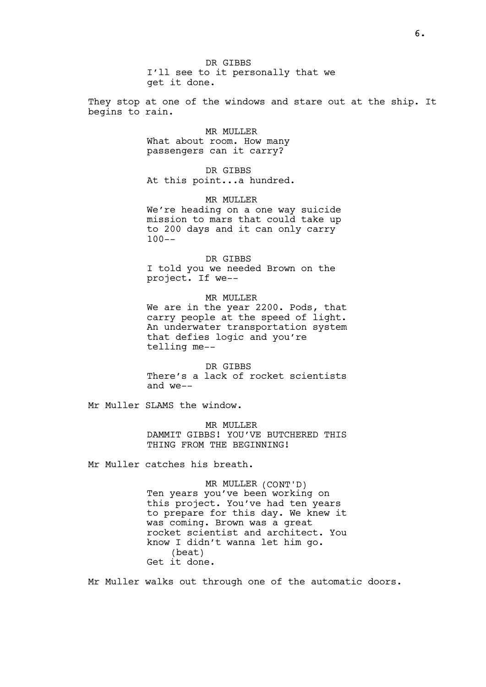DR GIBBS I'll see to it personally that we get it done.

They stop at one of the windows and stare out at the ship. It begins to rain.

> MR MULLER What about room. How many passengers can it carry?

DR GIBBS At this point...a hundred.

# MR MULLER

We're heading on a one way suicide mission to mars that could take up to 200 days and it can only carry 100--

# DR GIBBS

I told you we needed Brown on the project. If we--

MR MULLER

We are in the year 2200. Pods, that carry people at the speed of light. An underwater transportation system that defies logic and you're telling me--

DR GIBBS There's a lack of rocket scientists and we--

Mr Muller SLAMS the window.

MR MULLER DAMMIT GIBBS! YOU'VE BUTCHERED THIS THING FROM THE BEGINNING!

Mr Muller catches his breath.

MR MULLER (CONT'D) Ten years you've been working on this project. You've had ten years to prepare for this day. We knew it was coming. Brown was a great rocket scientist and architect. You know I didn't wanna let him go. (beat) Get it done.

Mr Muller walks out through one of the automatic doors.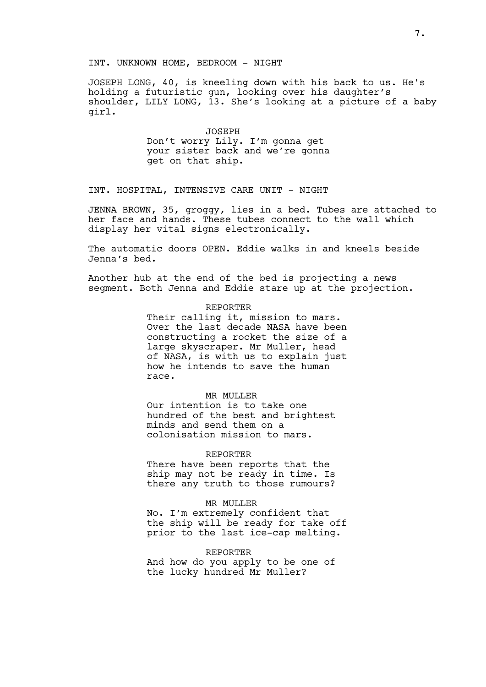JOSEPH LONG, 40, is kneeling down with his back to us. He's holding a futuristic gun, looking over his daughter's shoulder, LILY LONG, 13. She's looking at a picture of a baby girl.

> JOSEPH Don't worry Lily. I'm gonna get your sister back and we're gonna get on that ship.

### INT. HOSPITAL, INTENSIVE CARE UNIT - NIGHT

JENNA BROWN, 35, groggy, lies in a bed. Tubes are attached to her face and hands. These tubes connect to the wall which display her vital signs electronically.

The automatic doors OPEN. Eddie walks in and kneels beside Jenna's bed.

Another hub at the end of the bed is projecting a news segment. Both Jenna and Eddie stare up at the projection.

#### REPORTER

Their calling it, mission to mars. Over the last decade NASA have been constructing a rocket the size of a large skyscraper. Mr Muller, head of NASA, is with us to explain just how he intends to save the human race.

#### MR MULLER

Our intention is to take one hundred of the best and brightest minds and send them on a colonisation mission to mars.

#### REPORTER

There have been reports that the ship may not be ready in time. Is there any truth to those rumours?

#### MR MULLER

No. I'm extremely confident that the ship will be ready for take off prior to the last ice-cap melting.

#### REPORTER

And how do you apply to be one of the lucky hundred Mr Muller?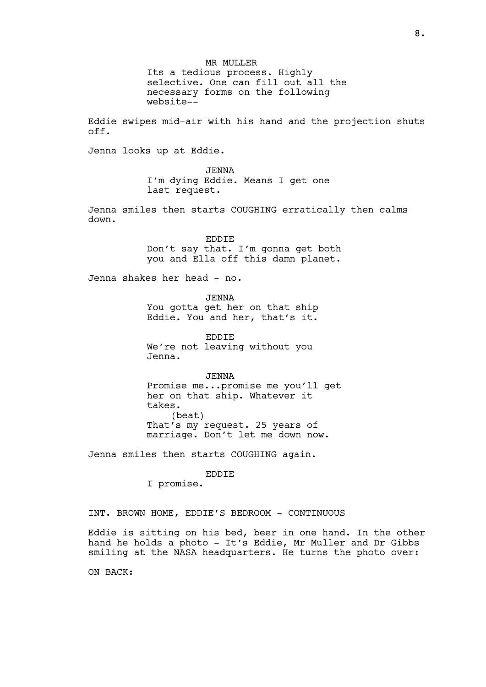MR MULLER Its a tedious process. Highly selective. One can fill out all the necessary forms on the following website--

Eddie swipes mid-air with his hand and the projection shuts off.

Jenna looks up at Eddie.

JENNA I'm dying Eddie. Means I get one last request.

Jenna smiles then starts COUGHING erratically then calms down.

> EDDIE Don't say that. I'm gonna get both you and Ella off this damn planet.

Jenna shakes her head - no.

JENNA You gotta get her on that ship Eddie. You and her, that's it.

EDDIE We're not leaving without you Jenna.

JENNA Promise me...promise me you'll get her on that ship. Whatever it takes. (beat) That's my request. 25 years of marriage. Don't let me down now.

Jenna smiles then starts COUGHING again.

EDDIE

I promise.

INT. BROWN HOME, EDDIE'S BEDROOM - CONTINUOUS

Eddie is sitting on his bed, beer in one hand. In the other hand he holds a photo - It's Eddie, Mr Muller and Dr Gibbs smiling at the NASA headquarters. He turns the photo over:

ON BACK: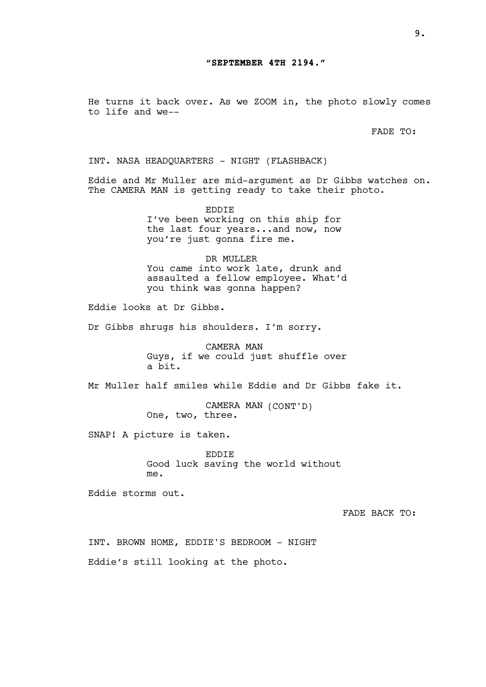He turns it back over. As we ZOOM in, the photo slowly comes to life and we--

FADE TO:

INT. NASA HEADQUARTERS - NIGHT (FLASHBACK)

Eddie and Mr Muller are mid-argument as Dr Gibbs watches on. The CAMERA MAN is getting ready to take their photo.

> EDDIE I've been working on this ship for the last four years...and now, now you're just gonna fire me.

DR MULLER You came into work late, drunk and assaulted a fellow employee. What'd you think was gonna happen?

Eddie looks at Dr Gibbs.

Dr Gibbs shrugs his shoulders. I'm sorry.

CAMERA MAN Guys, if we could just shuffle over a bit.

Mr Muller half smiles while Eddie and Dr Gibbs fake it.

CAMERA MAN (CONT'D) One, two, three.

SNAP! A picture is taken.

EDDIE Good luck saving the world without me.

Eddie storms out.

FADE BACK TO:

INT. BROWN HOME, EDDIE'S BEDROOM - NIGHT

Eddie's still looking at the photo.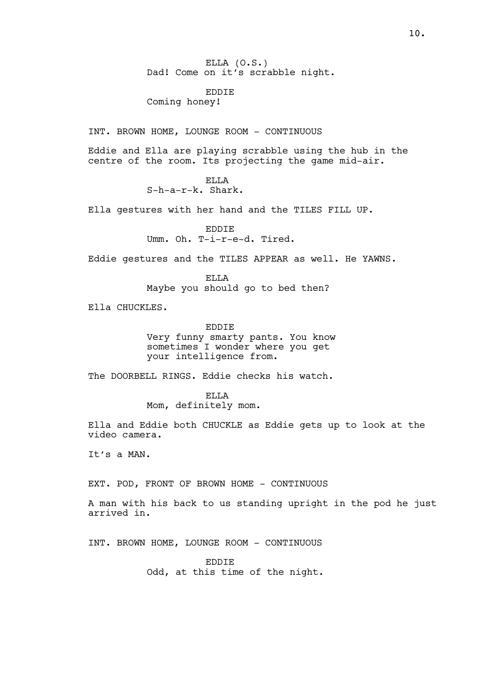ELLA (O.S.) Dad! Come on it's scrabble night.

EDDIE

Coming honey!

INT. BROWN HOME, LOUNGE ROOM - CONTINUOUS

Eddie and Ella are playing scrabble using the hub in the centre of the room. Its projecting the game mid-air.

> ELLA S-h-a-r-k. Shark.

Ella gestures with her hand and the TILES FILL UP.

EDDIE Umm. Oh. T-i-r-e-d. Tired.

Eddie gestures and the TILES APPEAR as well. He YAWNS.

ELLA Maybe you should go to bed then?

Ella CHUCKLES.

EDDIE

Very funny smarty pants. You know sometimes I wonder where you get your intelligence from.

The DOORBELL RINGS. Eddie checks his watch.

ELLA

Mom, definitely mom.

Ella and Eddie both CHUCKLE as Eddie gets up to look at the video camera.

It's a MAN.

EXT. POD, FRONT OF BROWN HOME - CONTINUOUS

A man with his back to us standing upright in the pod he just arrived in.

INT. BROWN HOME, LOUNGE ROOM - CONTINUOUS

EDDIE Odd, at this time of the night.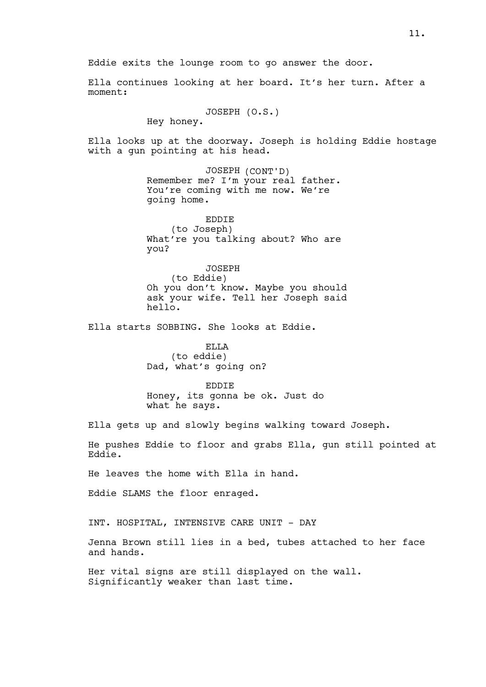Eddie exits the lounge room to go answer the door.

Ella continues looking at her board. It's her turn. After a moment:

JOSEPH (O.S.)

Hey honey.

Ella looks up at the doorway. Joseph is holding Eddie hostage with a gun pointing at his head.

> JOSEPH (CONT'D) Remember me? I'm your real father. You're coming with me now. We're going home.

> EDDIE (to Joseph) What're you talking about? Who are you?

JOSEPH (to Eddie) Oh you don't know. Maybe you should ask your wife. Tell her Joseph said  $he11o.$ 

Ella starts SOBBING. She looks at Eddie.

ELLA (to eddie) Dad, what's going on?

EDDIE Honey, its gonna be ok. Just do what he says.

Ella gets up and slowly begins walking toward Joseph.

He pushes Eddie to floor and grabs Ella, gun still pointed at Eddie.

He leaves the home with Ella in hand.

Eddie SLAMS the floor enraged.

INT. HOSPITAL, INTENSIVE CARE UNIT - DAY

Jenna Brown still lies in a bed, tubes attached to her face and hands.

Her vital signs are still displayed on the wall. Significantly weaker than last time.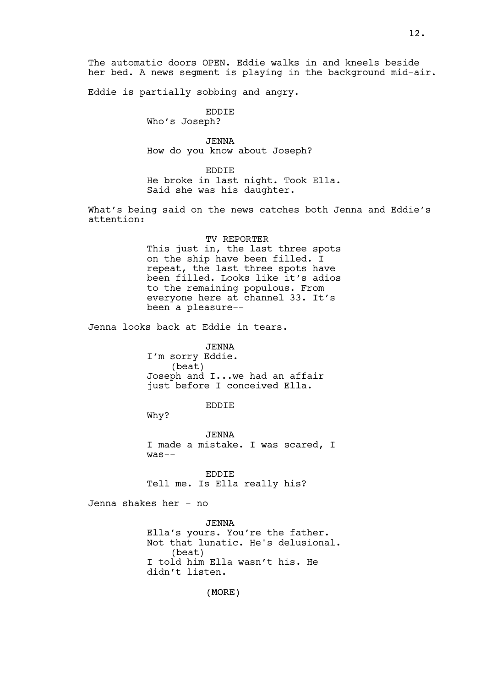The automatic doors OPEN. Eddie walks in and kneels beside her bed. A news segment is playing in the background mid-air.

Eddie is partially sobbing and angry.

EDDIE

Who's Joseph?

JENNA How do you know about Joseph?

EDDIE

He broke in last night. Took Ella. Said she was his daughter.

What's being said on the news catches both Jenna and Eddie's attention:

> TV REPORTER This just in, the last three spots on the ship have been filled. I repeat, the last three spots have been filled. Looks like it's adios to the remaining populous. From everyone here at channel 33. It's been a pleasure--

Jenna looks back at Eddie in tears.

JENNA I'm sorry Eddie. (beat) Joseph and I...we had an affair just before I conceived Ella.

EDDIE

Why?

JENNA I made a mistake. I was scared, I was--

EDDIE Tell me. Is Ella really his?

Jenna shakes her - no

JENNA Ella's yours. You're the father. Not that lunatic. He's delusional. (beat) I told him Ella wasn't his. He didn't listen.

(MORE)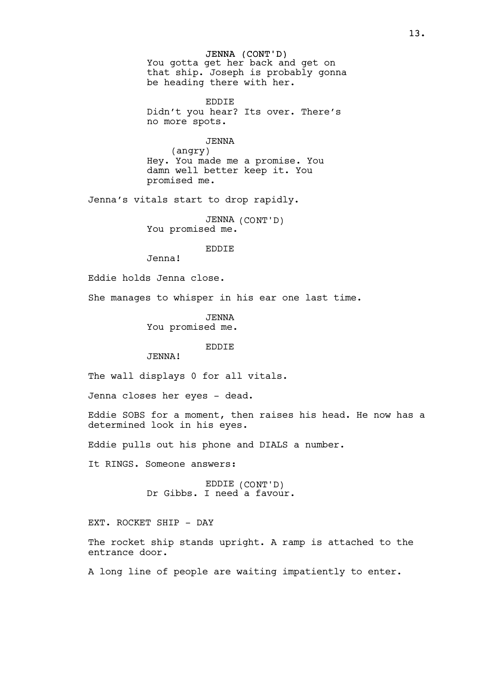JENNA (CONT'D) You gotta get her back and get on that ship. Joseph is probably gonna be heading there with her.

EDDIE Didn't you hear? Its over. There's no more spots.

JENNA (angry) Hey. You made me a promise. You damn well better keep it. You promised me.

Jenna's vitals start to drop rapidly.

JENNA (CONT'D) You promised me.

EDDIE

Jenna!

Eddie holds Jenna close.

She manages to whisper in his ear one last time.

JENNA You promised me.

# EDDIE

JENNA!

The wall displays 0 for all vitals.

Jenna closes her eyes - dead.

Eddie SOBS for a moment, then raises his head. He now has a determined look in his eyes.

Eddie pulls out his phone and DIALS a number.

It RINGS. Someone answers:

EDDIE (CONT'D) Dr Gibbs. I need a favour.

EXT. ROCKET SHIP - DAY

The rocket ship stands upright. A ramp is attached to the entrance door.

A long line of people are waiting impatiently to enter.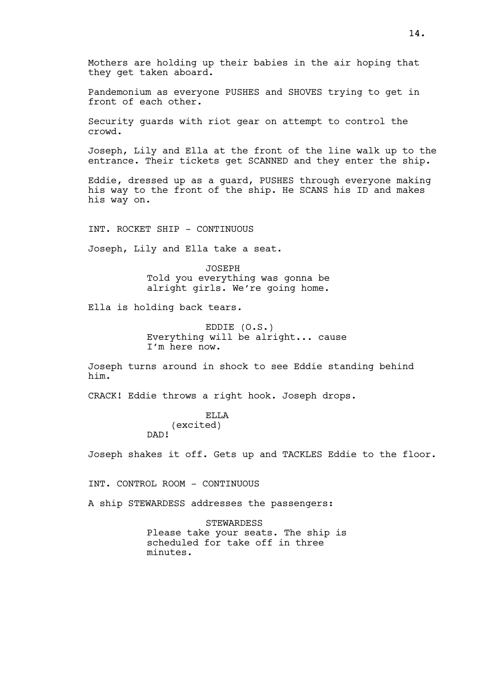Mothers are holding up their babies in the air hoping that they get taken aboard.

Pandemonium as everyone PUSHES and SHOVES trying to get in front of each other.

Security guards with riot gear on attempt to control the crowd.

Joseph, Lily and Ella at the front of the line walk up to the entrance. Their tickets get SCANNED and they enter the ship.

Eddie, dressed up as a guard, PUSHES through everyone making his way to the front of the ship. He SCANS his ID and makes his way on.

INT. ROCKET SHIP - CONTINUOUS

Joseph, Lily and Ella take a seat.

JOSEPH Told you everything was gonna be alright girls. We're going home.

Ella is holding back tears.

EDDIE (O.S.) Everything will be alright... cause I'm here now.

Joseph turns around in shock to see Eddie standing behind him.

CRACK! Eddie throws a right hook. Joseph drops.

ELLA (excited) DAD!

Joseph shakes it off. Gets up and TACKLES Eddie to the floor.

INT. CONTROL ROOM - CONTINUOUS

A ship STEWARDESS addresses the passengers:

STEWARDESS Please take your seats. The ship is scheduled for take off in three minutes.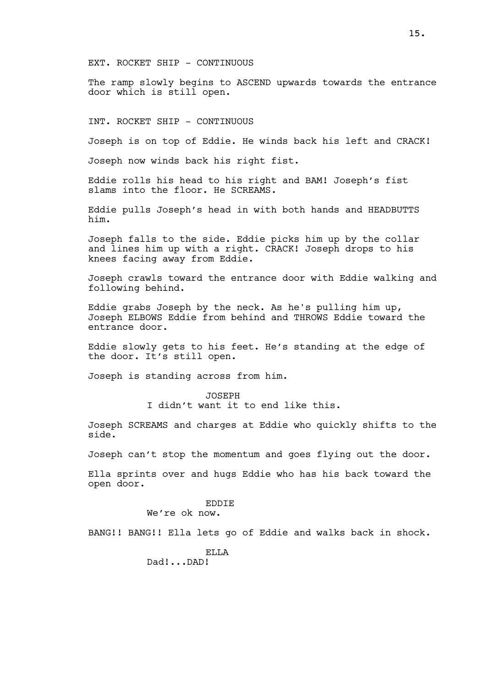EXT. ROCKET SHIP - CONTINUOUS

The ramp slowly begins to ASCEND upwards towards the entrance door which is still open.

INT. ROCKET SHIP - CONTINUOUS

Joseph is on top of Eddie. He winds back his left and CRACK!

Joseph now winds back his right fist.

Eddie rolls his head to his right and BAM! Joseph's fist slams into the floor. He SCREAMS.

Eddie pulls Joseph's head in with both hands and HEADBUTTS him.

Joseph falls to the side. Eddie picks him up by the collar and lines him up with a right. CRACK! Joseph drops to his knees facing away from Eddie.

Joseph crawls toward the entrance door with Eddie walking and following behind.

Eddie grabs Joseph by the neck. As he's pulling him up, Joseph ELBOWS Eddie from behind and THROWS Eddie toward the entrance door.

Eddie slowly gets to his feet. He's standing at the edge of the door. It's still open.

Joseph is standing across from him.

JOSEPH I didn't want it to end like this.

Joseph SCREAMS and charges at Eddie who quickly shifts to the side.

Joseph can't stop the momentum and goes flying out the door.

Ella sprints over and hugs Eddie who has his back toward the open door.

> EDDIE We're ok now.

BANG!! BANG!! Ella lets go of Eddie and walks back in shock.

ELLA

Dad!...DAD!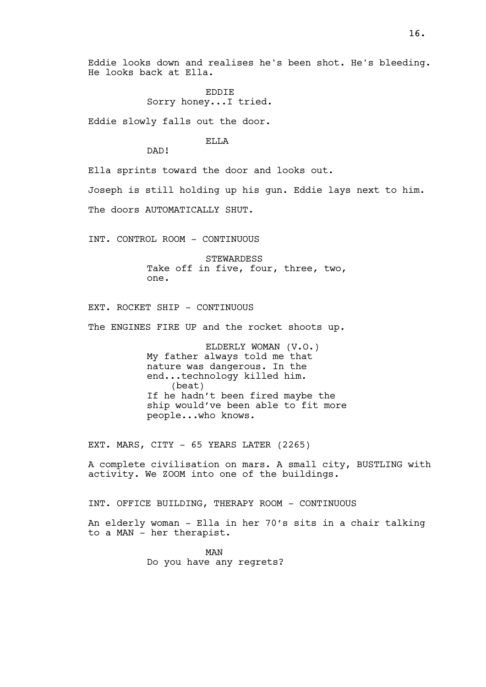Eddie looks down and realises he's been shot. He's bleeding. He looks back at Ella.

> EDDIE Sorry honey...I tried.

Eddie slowly falls out the door.

**ELLA** 

DAD!

Ella sprints toward the door and looks out.

Joseph is still holding up his gun. Eddie lays next to him.

The doors AUTOMATICALLY SHUT.

INT. CONTROL ROOM - CONTINUOUS

STEWARDESS Take off in five, four, three, two, one.

EXT. ROCKET SHIP - CONTINUOUS

The ENGINES FIRE UP and the rocket shoots up.

ELDERLY WOMAN (V.O.) My father always told me that nature was dangerous. In the end...technology killed him. (beat) If he hadn't been fired maybe the ship would've been able to fit more people...who knows.

EXT. MARS, CITY - 65 YEARS LATER (2265)

A complete civilisation on mars. A small city, BUSTLING with activity. We ZOOM into one of the buildings.

INT. OFFICE BUILDING, THERAPY ROOM - CONTINUOUS

An elderly woman - Ella in her 70's sits in a chair talking to a MAN - her therapist.

> MAN Do you have any regrets?